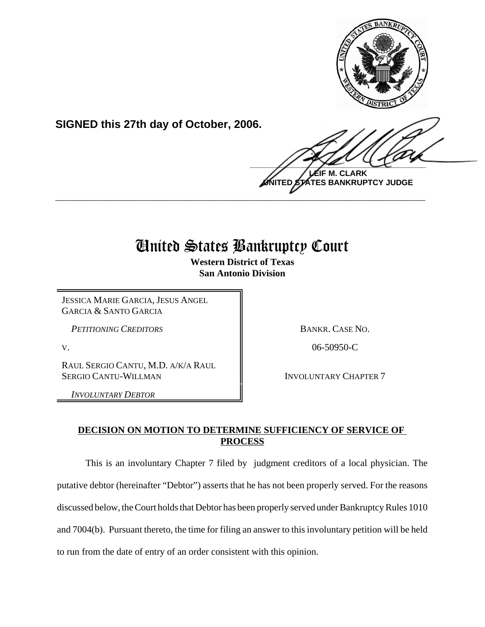

**SIGNED this 27th day of October, 2006.**

 $\frac{1}{2}$ **M. CLARK** 

**TES BANKRUPTCY JUDGE \_\_\_\_\_\_\_\_\_\_\_\_\_\_\_\_\_\_\_\_\_\_\_\_\_\_\_\_\_\_\_\_\_\_\_\_\_\_\_\_\_\_\_\_\_\_\_\_\_\_\_\_\_\_\_\_\_\_\_\_**

# United States Bankruptcy Court

**Western District of Texas San Antonio Division**

JESSICA MARIE GARCIA, JESUS ANGEL GARCIA & SANTO GARCIA

*PETITIONING CREDITORS* **BANKR. CASE NO.** 

RAUL SERGIO CANTU, M.D. A/K/A RAUL SERGIO CANTU-WILLMAN INVOLUNTARY CHAPTER 7

*INVOLUNTARY DEBTOR*

V. 2006-50950-C

## **DECISION ON MOTION TO DETERMINE SUFFICIENCY OF SERVICE OF PROCESS**

This is an involuntary Chapter 7 filed by judgment creditors of a local physician. The putative debtor (hereinafter "Debtor") asserts that he has not been properly served. For the reasons discussed below, the Court holds that Debtor has been properly served under Bankruptcy Rules 1010 and 7004(b). Pursuant thereto, the time for filing an answer to this involuntary petition will be held to run from the date of entry of an order consistent with this opinion.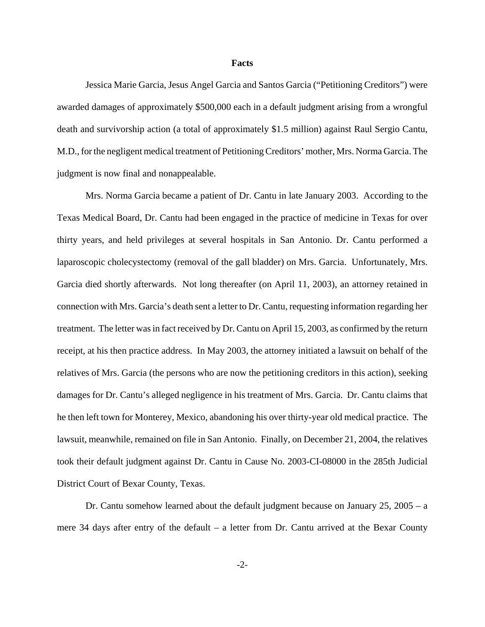#### **Facts**

Jessica Marie Garcia, Jesus Angel Garcia and Santos Garcia ("Petitioning Creditors") were awarded damages of approximately \$500,000 each in a default judgment arising from a wrongful death and survivorship action (a total of approximately \$1.5 million) against Raul Sergio Cantu, M.D., for the negligent medical treatment of Petitioning Creditors' mother, Mrs. Norma Garcia. The judgment is now final and nonappealable.

Mrs. Norma Garcia became a patient of Dr. Cantu in late January 2003. According to the Texas Medical Board, Dr. Cantu had been engaged in the practice of medicine in Texas for over thirty years, and held privileges at several hospitals in San Antonio. Dr. Cantu performed a laparoscopic cholecystectomy (removal of the gall bladder) on Mrs. Garcia. Unfortunately, Mrs. Garcia died shortly afterwards. Not long thereafter (on April 11, 2003), an attorney retained in connection with Mrs. Garcia's death sent a letter to Dr. Cantu, requesting information regarding her treatment. The letter was in fact received by Dr. Cantu on April 15, 2003, as confirmed by the return receipt, at his then practice address. In May 2003, the attorney initiated a lawsuit on behalf of the relatives of Mrs. Garcia (the persons who are now the petitioning creditors in this action), seeking damages for Dr. Cantu's alleged negligence in his treatment of Mrs. Garcia. Dr. Cantu claims that he then left town for Monterey, Mexico, abandoning his over thirty-year old medical practice. The lawsuit, meanwhile, remained on file in San Antonio. Finally, on December 21, 2004, the relatives took their default judgment against Dr. Cantu in Cause No. 2003-CI-08000 in the 285th Judicial District Court of Bexar County, Texas.

Dr. Cantu somehow learned about the default judgment because on January 25, 2005 – a mere 34 days after entry of the default – a letter from Dr. Cantu arrived at the Bexar County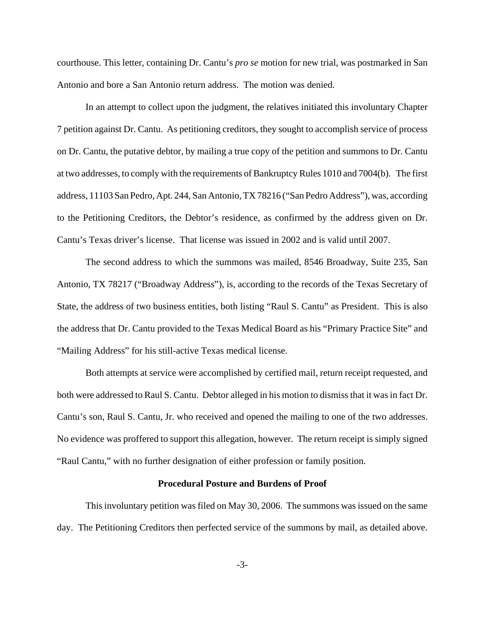courthouse. This letter, containing Dr. Cantu's *pro se* motion for new trial, was postmarked in San Antonio and bore a San Antonio return address. The motion was denied.

In an attempt to collect upon the judgment, the relatives initiated this involuntary Chapter 7 petition against Dr. Cantu. As petitioning creditors, they sought to accomplish service of process on Dr. Cantu, the putative debtor, by mailing a true copy of the petition and summons to Dr. Cantu at two addresses, to comply with the requirements of Bankruptcy Rules 1010 and 7004(b). The first address, 11103 San Pedro, Apt. 244, San Antonio, TX 78216 ("San Pedro Address"), was, according to the Petitioning Creditors, the Debtor's residence, as confirmed by the address given on Dr. Cantu's Texas driver's license. That license was issued in 2002 and is valid until 2007.

The second address to which the summons was mailed, 8546 Broadway, Suite 235, San Antonio, TX 78217 ("Broadway Address"), is, according to the records of the Texas Secretary of State, the address of two business entities, both listing "Raul S. Cantu" as President. This is also the address that Dr. Cantu provided to the Texas Medical Board as his "Primary Practice Site" and "Mailing Address" for his still-active Texas medical license.

Both attempts at service were accomplished by certified mail, return receipt requested, and both were addressed to Raul S. Cantu. Debtor alleged in his motion to dismiss that it was in fact Dr. Cantu's son, Raul S. Cantu, Jr. who received and opened the mailing to one of the two addresses. No evidence was proffered to support this allegation, however. The return receipt is simply signed "Raul Cantu," with no further designation of either profession or family position.

## **Procedural Posture and Burdens of Proof**

This involuntary petition was filed on May 30, 2006. The summons was issued on the same day. The Petitioning Creditors then perfected service of the summons by mail, as detailed above.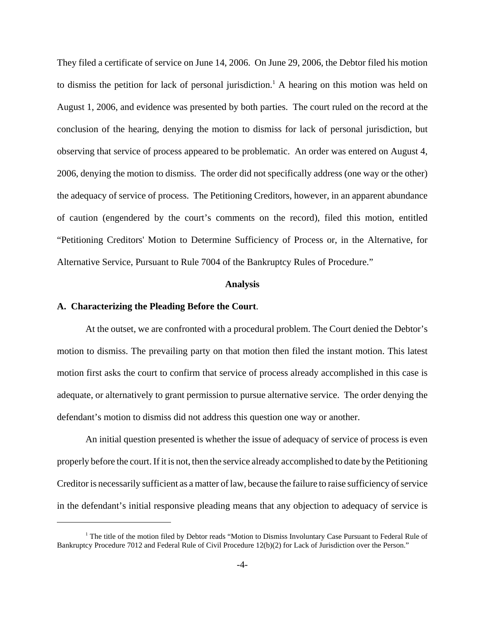They filed a certificate of service on June 14, 2006. On June 29, 2006, the Debtor filed his motion to dismiss the petition for lack of personal jurisdiction.<sup>1</sup> A hearing on this motion was held on August 1, 2006, and evidence was presented by both parties. The court ruled on the record at the conclusion of the hearing, denying the motion to dismiss for lack of personal jurisdiction, but observing that service of process appeared to be problematic. An order was entered on August 4, 2006, denying the motion to dismiss. The order did not specifically address (one way or the other) the adequacy of service of process. The Petitioning Creditors, however, in an apparent abundance of caution (engendered by the court's comments on the record), filed this motion, entitled "Petitioning Creditors' Motion to Determine Sufficiency of Process or, in the Alternative, for Alternative Service, Pursuant to Rule 7004 of the Bankruptcy Rules of Procedure."

## **Analysis**

## **A. Characterizing the Pleading Before the Court**.

At the outset, we are confronted with a procedural problem. The Court denied the Debtor's motion to dismiss. The prevailing party on that motion then filed the instant motion. This latest motion first asks the court to confirm that service of process already accomplished in this case is adequate, or alternatively to grant permission to pursue alternative service. The order denying the defendant's motion to dismiss did not address this question one way or another.

An initial question presented is whether the issue of adequacy of service of process is even properly before the court. If it is not, then the service already accomplished to date by the Petitioning Creditor is necessarily sufficient as a matter of law, because the failure to raise sufficiency of service in the defendant's initial responsive pleading means that any objection to adequacy of service is

<sup>&</sup>lt;sup>1</sup> The title of the motion filed by Debtor reads "Motion to Dismiss Involuntary Case Pursuant to Federal Rule of Bankruptcy Procedure 7012 and Federal Rule of Civil Procedure 12(b)(2) for Lack of Jurisdiction over the Person."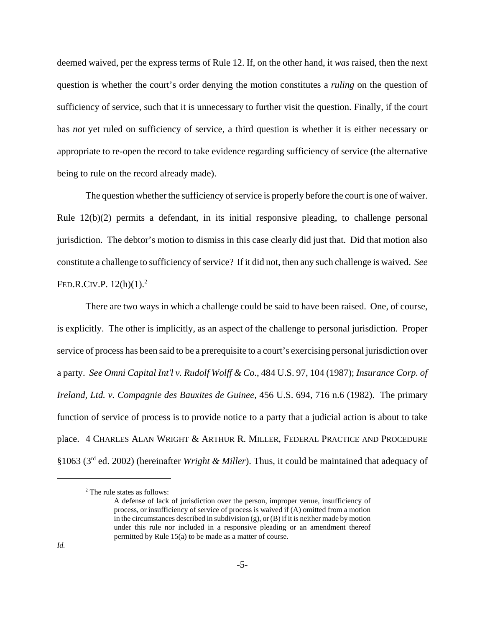deemed waived, per the express terms of Rule 12. If, on the other hand, it *was* raised, then the next question is whether the court's order denying the motion constitutes a *ruling* on the question of sufficiency of service, such that it is unnecessary to further visit the question. Finally, if the court has *not* yet ruled on sufficiency of service, a third question is whether it is either necessary or appropriate to re-open the record to take evidence regarding sufficiency of service (the alternative being to rule on the record already made).

The question whether the sufficiency of service is properly before the court is one of waiver. Rule 12(b)(2) permits a defendant, in its initial responsive pleading, to challenge personal jurisdiction. The debtor's motion to dismiss in this case clearly did just that. Did that motion also constitute a challenge to sufficiency of service? If it did not, then any such challenge is waived. *See* FED.R.CIV.P.  $12(h)(1)^2$ 

There are two ways in which a challenge could be said to have been raised. One, of course, is explicitly. The other is implicitly, as an aspect of the challenge to personal jurisdiction. Proper service of process has been said to be a prerequisite to a court's exercising personal jurisdiction over a party. *See Omni Capital Int'l v. Rudolf Wolff & Co.*, 484 U.S. 97, 104 (1987); *Insurance Corp. of Ireland, Ltd. v. Compagnie des Bauxites de Guinee,* 456 U.S. 694, 716 n.6 (1982). The primary function of service of process is to provide notice to a party that a judicial action is about to take place. 4 CHARLES ALAN WRIGHT & ARTHUR R. MILLER, FEDERAL PRACTICE AND PROCEDURE §1063 (3rd ed. 2002) (hereinafter *Wright & Miller*). Thus, it could be maintained that adequacy of

<sup>2</sup> The rule states as follows:

A defense of lack of jurisdiction over the person, improper venue, insufficiency of process, or insufficiency of service of process is waived if (A) omitted from a motion in the circumstances described in subdivision (g), or (B) if it is neither made by motion under this rule nor included in a responsive pleading or an amendment thereof permitted by Rule 15(a) to be made as a matter of course.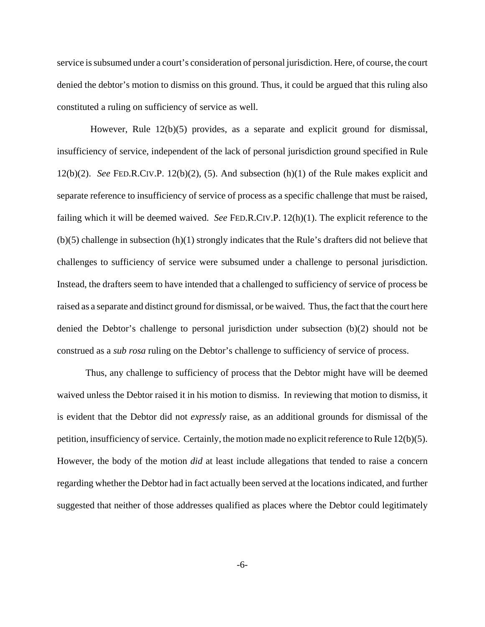service is subsumed under a court's consideration of personal jurisdiction. Here, of course, the court denied the debtor's motion to dismiss on this ground. Thus, it could be argued that this ruling also constituted a ruling on sufficiency of service as well.

 However, Rule 12(b)(5) provides, as a separate and explicit ground for dismissal, insufficiency of service, independent of the lack of personal jurisdiction ground specified in Rule 12(b)(2). *See* FED.R.CIV.P. 12(b)(2), (5). And subsection (h)(1) of the Rule makes explicit and separate reference to insufficiency of service of process as a specific challenge that must be raised, failing which it will be deemed waived. *See* FED.R.CIV.P. 12(h)(1). The explicit reference to the (b)(5) challenge in subsection (h)(1) strongly indicates that the Rule's drafters did not believe that challenges to sufficiency of service were subsumed under a challenge to personal jurisdiction. Instead, the drafters seem to have intended that a challenged to sufficiency of service of process be raised as a separate and distinct ground for dismissal, or be waived. Thus, the fact that the court here denied the Debtor's challenge to personal jurisdiction under subsection (b)(2) should not be construed as a *sub rosa* ruling on the Debtor's challenge to sufficiency of service of process.

Thus, any challenge to sufficiency of process that the Debtor might have will be deemed waived unless the Debtor raised it in his motion to dismiss. In reviewing that motion to dismiss, it is evident that the Debtor did not *expressly* raise, as an additional grounds for dismissal of the petition, insufficiency of service. Certainly, the motion made no explicit reference to Rule 12(b)(5). However, the body of the motion *did* at least include allegations that tended to raise a concern regarding whether the Debtor had in fact actually been served at the locations indicated, and further suggested that neither of those addresses qualified as places where the Debtor could legitimately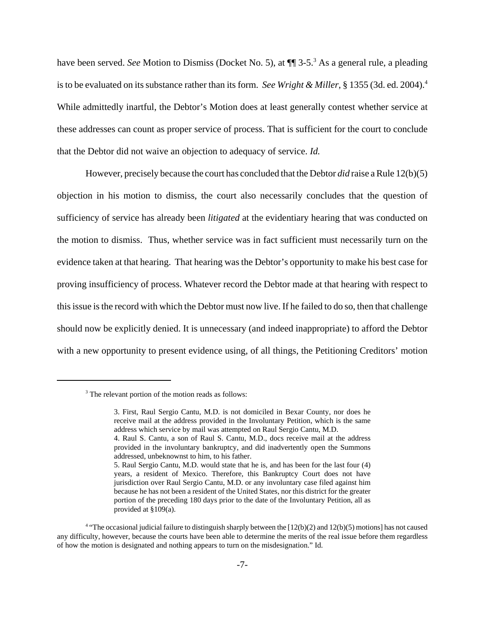have been served. *See* Motion to Dismiss (Docket No. 5), at  $\P$  3-5.<sup>3</sup> As a general rule, a pleading is to be evaluated on its substance rather than its form. *See Wright & Miller*, § 1355 (3d. ed. 2004).4 While admittedly inartful, the Debtor's Motion does at least generally contest whether service at these addresses can count as proper service of process. That is sufficient for the court to conclude that the Debtor did not waive an objection to adequacy of service. *Id.*

However, precisely because the court has concluded that the Debtor *did* raise a Rule 12(b)(5) objection in his motion to dismiss, the court also necessarily concludes that the question of sufficiency of service has already been *litigated* at the evidentiary hearing that was conducted on the motion to dismiss. Thus, whether service was in fact sufficient must necessarily turn on the evidence taken at that hearing. That hearing was the Debtor's opportunity to make his best case for proving insufficiency of process. Whatever record the Debtor made at that hearing with respect to this issue is the record with which the Debtor must now live. If he failed to do so, then that challenge should now be explicitly denied. It is unnecessary (and indeed inappropriate) to afford the Debtor with a new opportunity to present evidence using, of all things, the Petitioning Creditors' motion

<sup>&</sup>lt;sup>3</sup> The relevant portion of the motion reads as follows:

<sup>3.</sup> First, Raul Sergio Cantu, M.D. is not domiciled in Bexar County, nor does he receive mail at the address provided in the Involuntary Petition, which is the same address which service by mail was attempted on Raul Sergio Cantu, M.D.

<sup>4.</sup> Raul S. Cantu, a son of Raul S. Cantu, M.D., docs receive mail at the address provided in the involuntary bankruptcy, and did inadvertently open the Summons addressed, unbeknownst to him, to his father.

<sup>5.</sup> Raul Sergio Cantu, M.D. would state that he is, and has been for the last four (4) years, a resident of Mexico. Therefore, this Bankruptcy Court does not have jurisdiction over Raul Sergio Cantu, M.D. or any involuntary case filed against him because he has not been a resident of the United States, nor this district for the greater portion of the preceding 180 days prior to the date of the Involuntary Petition, all as provided at §109(a).

<sup>4</sup> "The occasional judicial failure to distinguish sharply between the [12(b)(2) and 12(b)(5) motions] has not caused any difficulty, however, because the courts have been able to determine the merits of the real issue before them regardless of how the motion is designated and nothing appears to turn on the misdesignation." Id.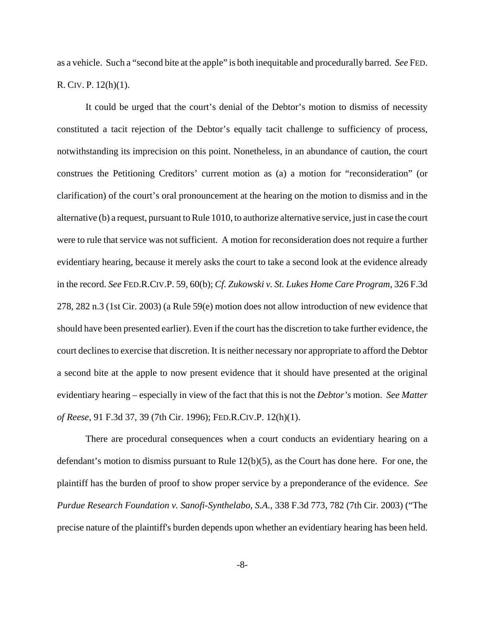as a vehicle. Such a "second bite at the apple" is both inequitable and procedurally barred. *See* FED. R. CIV. P. 12(h)(1).

It could be urged that the court's denial of the Debtor's motion to dismiss of necessity constituted a tacit rejection of the Debtor's equally tacit challenge to sufficiency of process, notwithstanding its imprecision on this point. Nonetheless, in an abundance of caution, the court construes the Petitioning Creditors' current motion as (a) a motion for "reconsideration" (or clarification) of the court's oral pronouncement at the hearing on the motion to dismiss and in the alternative (b) a request, pursuant to Rule 1010, to authorize alternative service, just in case the court were to rule that service was not sufficient. A motion for reconsideration does not require a further evidentiary hearing, because it merely asks the court to take a second look at the evidence already in the record. *See* FED.R.CIV.P. 59, 60(b); *Cf. Zukowski v. St. Lukes Home Care Program*, 326 F.3d 278, 282 n.3 (1st Cir. 2003) (a Rule 59(e) motion does not allow introduction of new evidence that should have been presented earlier). Even if the court has the discretion to take further evidence, the court declines to exercise that discretion. It is neither necessary nor appropriate to afford the Debtor a second bite at the apple to now present evidence that it should have presented at the original evidentiary hearing – especially in view of the fact that this is not the *Debtor's* motion. *See Matter of Reese*, 91 F.3d 37, 39 (7th Cir. 1996); FED.R.CIV.P. 12(h)(1).

There are procedural consequences when a court conducts an evidentiary hearing on a defendant's motion to dismiss pursuant to Rule 12(b)(5), as the Court has done here. For one, the plaintiff has the burden of proof to show proper service by a preponderance of the evidence. *See Purdue Research Foundation v. Sanofi-Synthelabo, S.A.*, 338 F.3d 773, 782 (7th Cir. 2003) ("The precise nature of the plaintiff's burden depends upon whether an evidentiary hearing has been held.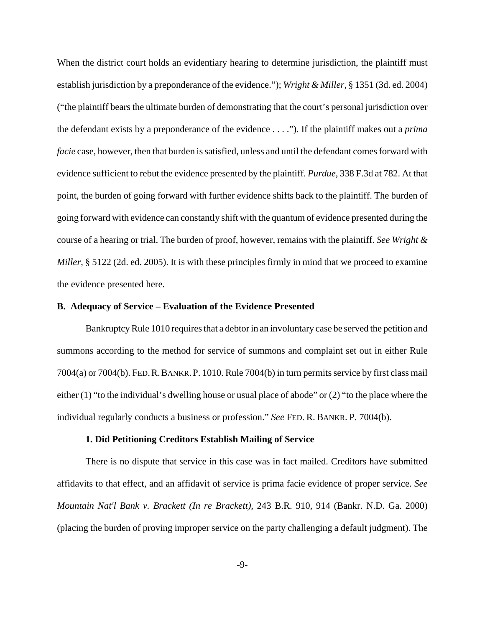When the district court holds an evidentiary hearing to determine jurisdiction, the plaintiff must establish jurisdiction by a preponderance of the evidence."); *Wright & Miller*, § 1351 (3d. ed. 2004) ("the plaintiff bears the ultimate burden of demonstrating that the court's personal jurisdiction over the defendant exists by a preponderance of the evidence . . . ."). If the plaintiff makes out a *prima facie* case, however, then that burden is satisfied, unless and until the defendant comes forward with evidence sufficient to rebut the evidence presented by the plaintiff. *Purdue*, 338 F.3d at 782. At that point, the burden of going forward with further evidence shifts back to the plaintiff. The burden of going forward with evidence can constantly shift with the quantum of evidence presented during the course of a hearing or trial. The burden of proof, however, remains with the plaintiff. *See Wright & Miller*, § 5122 (2d. ed. 2005). It is with these principles firmly in mind that we proceed to examine the evidence presented here.

#### **B. Adequacy of Service – Evaluation of the Evidence Presented**

Bankruptcy Rule 1010 requires that a debtor in an involuntary case be served the petition and summons according to the method for service of summons and complaint set out in either Rule 7004(a) or 7004(b). FED.R.BANKR.P. 1010. Rule 7004(b) in turn permits service by first class mail either (1) "to the individual's dwelling house or usual place of abode" or (2) "to the place where the individual regularly conducts a business or profession." *See* FED. R. BANKR. P. 7004(b).

#### **1. Did Petitioning Creditors Establish Mailing of Service**

There is no dispute that service in this case was in fact mailed. Creditors have submitted affidavits to that effect, and an affidavit of service is prima facie evidence of proper service. *See Mountain Nat'l Bank v. Brackett (In re Brackett),* 243 B.R. 910, 914 (Bankr. N.D. Ga. 2000) (placing the burden of proving improper service on the party challenging a default judgment). The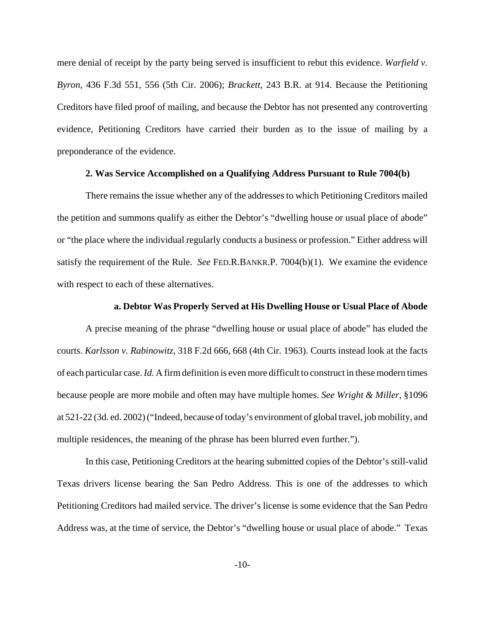mere denial of receipt by the party being served is insufficient to rebut this evidence. *Warfield v. Byron*, 436 F.3d 551, 556 (5th Cir. 2006); *Brackett*, 243 B.R. at 914. Because the Petitioning Creditors have filed proof of mailing, and because the Debtor has not presented any controverting evidence, Petitioning Creditors have carried their burden as to the issue of mailing by a preponderance of the evidence.

## **2. Was Service Accomplished on a Qualifying Address Pursuant to Rule 7004(b)**

There remains the issue whether any of the addresses to which Petitioning Creditors mailed the petition and summons qualify as either the Debtor's "dwelling house or usual place of abode" or "the place where the individual regularly conducts a business or profession." Either address will satisfy the requirement of the Rule. *See* FED.R.BANKR.P. 7004(b)(1). We examine the evidence with respect to each of these alternatives.

#### **a. Debtor Was Properly Served at His Dwelling House or Usual Place of Abode**

A precise meaning of the phrase "dwelling house or usual place of abode" has eluded the courts. *Karlsson v. Rabinowitz*, 318 F.2d 666, 668 (4th Cir. 1963). Courts instead look at the facts of each particular case. *Id.* A firm definition is even more difficult to construct in these modern times because people are more mobile and often may have multiple homes. *See Wright & Miller*, §1096 at 521-22 (3d. ed. 2002) ("Indeed, because of today's environment of global travel, job mobility, and multiple residences, the meaning of the phrase has been blurred even further.").

In this case, Petitioning Creditors at the hearing submitted copies of the Debtor's still-valid Texas drivers license bearing the San Pedro Address. This is one of the addresses to which Petitioning Creditors had mailed service. The driver's license is some evidence that the San Pedro Address was, at the time of service, the Debtor's "dwelling house or usual place of abode." Texas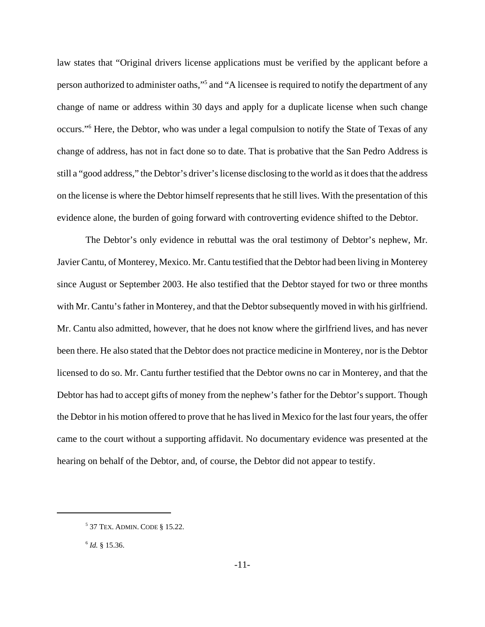law states that "Original drivers license applications must be verified by the applicant before a person authorized to administer oaths,"<sup>5</sup> and "A licensee is required to notify the department of any change of name or address within 30 days and apply for a duplicate license when such change occurs."6 Here, the Debtor, who was under a legal compulsion to notify the State of Texas of any change of address, has not in fact done so to date. That is probative that the San Pedro Address is still a "good address," the Debtor's driver's license disclosing to the world as it does that the address on the license is where the Debtor himself represents that he still lives. With the presentation of this evidence alone, the burden of going forward with controverting evidence shifted to the Debtor.

The Debtor's only evidence in rebuttal was the oral testimony of Debtor's nephew, Mr. Javier Cantu, of Monterey, Mexico. Mr. Cantu testified that the Debtor had been living in Monterey since August or September 2003. He also testified that the Debtor stayed for two or three months with Mr. Cantu's father in Monterey, and that the Debtor subsequently moved in with his girlfriend. Mr. Cantu also admitted, however, that he does not know where the girlfriend lives, and has never been there. He also stated that the Debtor does not practice medicine in Monterey, nor is the Debtor licensed to do so. Mr. Cantu further testified that the Debtor owns no car in Monterey, and that the Debtor has had to accept gifts of money from the nephew's father for the Debtor's support. Though the Debtor in his motion offered to prove that he has lived in Mexico for the last four years, the offer came to the court without a supporting affidavit. No documentary evidence was presented at the hearing on behalf of the Debtor, and, of course, the Debtor did not appear to testify.

<sup>5</sup> 37 TEX. ADMIN. CODE § 15.22.

<sup>6</sup> *Id.* § 15.36.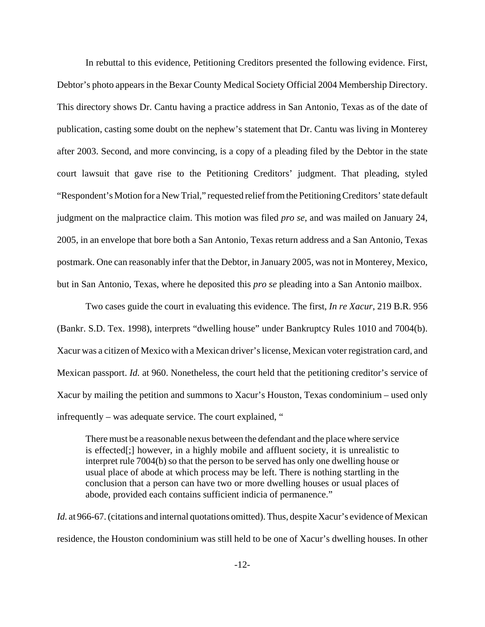In rebuttal to this evidence, Petitioning Creditors presented the following evidence. First, Debtor's photo appears in the Bexar County Medical Society Official 2004 Membership Directory. This directory shows Dr. Cantu having a practice address in San Antonio, Texas as of the date of publication, casting some doubt on the nephew's statement that Dr. Cantu was living in Monterey after 2003. Second, and more convincing, is a copy of a pleading filed by the Debtor in the state court lawsuit that gave rise to the Petitioning Creditors' judgment. That pleading, styled "Respondent's Motion for a New Trial," requested relief from the Petitioning Creditors' state default judgment on the malpractice claim. This motion was filed *pro se*, and was mailed on January 24, 2005, in an envelope that bore both a San Antonio, Texas return address and a San Antonio, Texas postmark. One can reasonably infer that the Debtor, in January 2005, was not in Monterey, Mexico, but in San Antonio, Texas, where he deposited this *pro se* pleading into a San Antonio mailbox.

Two cases guide the court in evaluating this evidence. The first, *In re Xacur*, 219 B.R. 956 (Bankr. S.D. Tex. 1998), interprets "dwelling house" under Bankruptcy Rules 1010 and 7004(b). Xacur was a citizen of Mexico with a Mexican driver's license, Mexican voter registration card, and Mexican passport. *Id.* at 960. Nonetheless, the court held that the petitioning creditor's service of Xacur by mailing the petition and summons to Xacur's Houston, Texas condominium – used only infrequently – was adequate service. The court explained, "

There must be a reasonable nexus between the defendant and the place where service is effected[;] however, in a highly mobile and affluent society, it is unrealistic to interpret rule 7004(b) so that the person to be served has only one dwelling house or usual place of abode at which process may be left. There is nothing startling in the conclusion that a person can have two or more dwelling houses or usual places of abode, provided each contains sufficient indicia of permanence."

*Id.* at 966-67. (citations and internal quotations omitted). Thus, despite Xacur's evidence of Mexican residence, the Houston condominium was still held to be one of Xacur's dwelling houses. In other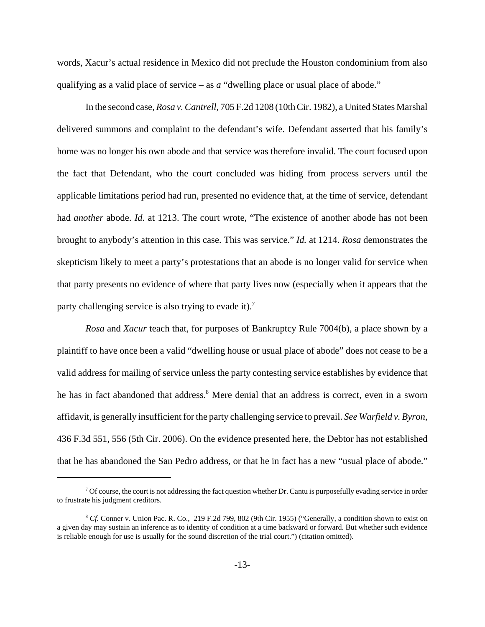words, Xacur's actual residence in Mexico did not preclude the Houston condominium from also qualifying as a valid place of service – as *a* "dwelling place or usual place of abode."

In the second case, *Rosa v. Cantrell*, 705 F.2d 1208 (10th Cir. 1982), a United States Marshal delivered summons and complaint to the defendant's wife. Defendant asserted that his family's home was no longer his own abode and that service was therefore invalid. The court focused upon the fact that Defendant, who the court concluded was hiding from process servers until the applicable limitations period had run, presented no evidence that, at the time of service, defendant had *another* abode. *Id.* at 1213. The court wrote, "The existence of another abode has not been brought to anybody's attention in this case. This was service." *Id.* at 1214. *Rosa* demonstrates the skepticism likely to meet a party's protestations that an abode is no longer valid for service when that party presents no evidence of where that party lives now (especially when it appears that the party challenging service is also trying to evade it).<sup>7</sup>

*Rosa* and *Xacur* teach that, for purposes of Bankruptcy Rule 7004(b), a place shown by a plaintiff to have once been a valid "dwelling house or usual place of abode" does not cease to be a valid address for mailing of service unless the party contesting service establishes by evidence that he has in fact abandoned that address.<sup>8</sup> Mere denial that an address is correct, even in a sworn affidavit, is generally insufficient for the party challenging service to prevail. *See Warfield v. Byron*, 436 F.3d 551, 556 (5th Cir. 2006). On the evidence presented here, the Debtor has not established that he has abandoned the San Pedro address, or that he in fact has a new "usual place of abode."

 $<sup>7</sup>$  Of course, the court is not addressing the fact question whether Dr. Cantu is purposefully evading service in order</sup> to frustrate his judgment creditors.

<sup>&</sup>lt;sup>8</sup> *Cf.* Conner v. Union Pac. R. Co., 219 F.2d 799, 802 (9th Cir. 1955) ("Generally, a condition shown to exist on a given day may sustain an inference as to identity of condition at a time backward or forward. But whether such evidence is reliable enough for use is usually for the sound discretion of the trial court.") (citation omitted).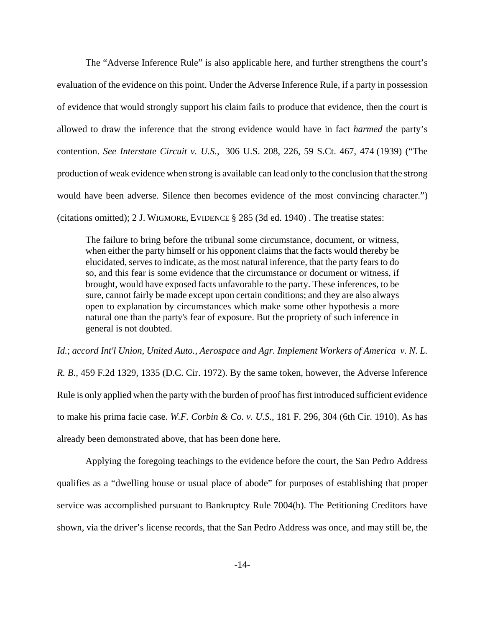The "Adverse Inference Rule" is also applicable here, and further strengthens the court's evaluation of the evidence on this point. Under the Adverse Inference Rule, if a party in possession of evidence that would strongly support his claim fails to produce that evidence, then the court is allowed to draw the inference that the strong evidence would have in fact *harmed* the party's contention. *See Interstate Circuit v. U.S.*, 306 U.S. 208, 226, 59 S.Ct. 467, 474 (1939) ("The production of weak evidence when strong is available can lead only to the conclusion that the strong would have been adverse. Silence then becomes evidence of the most convincing character.") (citations omitted); 2 J. WIGMORE, EVIDENCE § 285 (3d ed. 1940) . The treatise states:

The failure to bring before the tribunal some circumstance, document, or witness, when either the party himself or his opponent claims that the facts would thereby be elucidated, serves to indicate, as the most natural inference, that the party fears to do so, and this fear is some evidence that the circumstance or document or witness, if brought, would have exposed facts unfavorable to the party. These inferences, to be sure, cannot fairly be made except upon certain conditions; and they are also always open to explanation by circumstances which make some other hypothesis a more natural one than the party's fear of exposure. But the propriety of such inference in general is not doubted.

*Id.*; *accord Int'l Union, United Auto., Aerospace and Agr. Implement Workers of America v. N. L. R. B.,* 459 F.2d 1329, 1335 (D.C. Cir. 1972). By the same token, however, the Adverse Inference Rule is only applied when the party with the burden of proof has first introduced sufficient evidence to make his prima facie case. *W.F. Corbin & Co. v. U.S.*, 181 F. 296, 304 (6th Cir. 1910). As has already been demonstrated above, that has been done here.

Applying the foregoing teachings to the evidence before the court, the San Pedro Address qualifies as a "dwelling house or usual place of abode" for purposes of establishing that proper service was accomplished pursuant to Bankruptcy Rule 7004(b). The Petitioning Creditors have shown, via the driver's license records, that the San Pedro Address was once, and may still be, the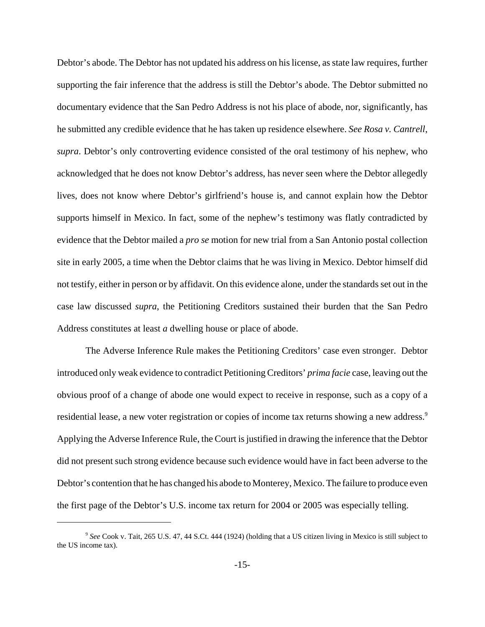Debtor's abode. The Debtor has not updated his address on his license, as state law requires, further supporting the fair inference that the address is still the Debtor's abode. The Debtor submitted no documentary evidence that the San Pedro Address is not his place of abode, nor, significantly, has he submitted any credible evidence that he has taken up residence elsewhere. *See Rosa v. Cantrell*, *supra*. Debtor's only controverting evidence consisted of the oral testimony of his nephew, who acknowledged that he does not know Debtor's address, has never seen where the Debtor allegedly lives, does not know where Debtor's girlfriend's house is, and cannot explain how the Debtor supports himself in Mexico. In fact, some of the nephew's testimony was flatly contradicted by evidence that the Debtor mailed a *pro se* motion for new trial from a San Antonio postal collection site in early 2005, a time when the Debtor claims that he was living in Mexico. Debtor himself did not testify, either in person or by affidavit. On this evidence alone, under the standards set out in the case law discussed *supra*, the Petitioning Creditors sustained their burden that the San Pedro Address constitutes at least *a* dwelling house or place of abode.

The Adverse Inference Rule makes the Petitioning Creditors' case even stronger. Debtor introduced only weak evidence to contradict Petitioning Creditors' *prima facie* case, leaving out the obvious proof of a change of abode one would expect to receive in response, such as a copy of a residential lease, a new voter registration or copies of income tax returns showing a new address.<sup>9</sup> Applying the Adverse Inference Rule, the Court is justified in drawing the inference that the Debtor did not present such strong evidence because such evidence would have in fact been adverse to the Debtor's contention that he has changed his abode to Monterey, Mexico. The failure to produce even the first page of the Debtor's U.S. income tax return for 2004 or 2005 was especially telling.

<sup>&</sup>lt;sup>9</sup> See Cook v. Tait, 265 U.S. 47, 44 S.Ct. 444 (1924) (holding that a US citizen living in Mexico is still subject to the US income tax).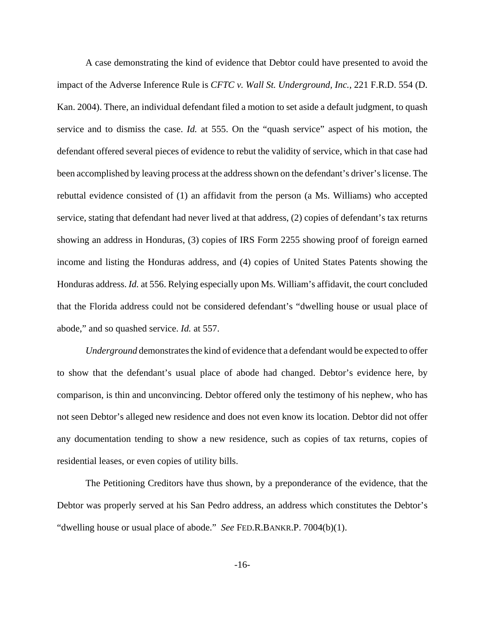A case demonstrating the kind of evidence that Debtor could have presented to avoid the impact of the Adverse Inference Rule is *CFTC v. Wall St. Underground, Inc.*, 221 F.R.D. 554 (D. Kan. 2004). There, an individual defendant filed a motion to set aside a default judgment, to quash service and to dismiss the case. *Id.* at 555. On the "quash service" aspect of his motion, the defendant offered several pieces of evidence to rebut the validity of service, which in that case had been accomplished by leaving process at the address shown on the defendant's driver's license. The rebuttal evidence consisted of (1) an affidavit from the person (a Ms. Williams) who accepted service, stating that defendant had never lived at that address, (2) copies of defendant's tax returns showing an address in Honduras, (3) copies of IRS Form 2255 showing proof of foreign earned income and listing the Honduras address, and (4) copies of United States Patents showing the Honduras address. *Id.* at 556. Relying especially upon Ms. William's affidavit, the court concluded that the Florida address could not be considered defendant's "dwelling house or usual place of abode," and so quashed service. *Id.* at 557.

*Underground* demonstrates the kind of evidence that a defendant would be expected to offer to show that the defendant's usual place of abode had changed. Debtor's evidence here, by comparison, is thin and unconvincing. Debtor offered only the testimony of his nephew, who has not seen Debtor's alleged new residence and does not even know its location. Debtor did not offer any documentation tending to show a new residence, such as copies of tax returns, copies of residential leases, or even copies of utility bills.

The Petitioning Creditors have thus shown, by a preponderance of the evidence, that the Debtor was properly served at his San Pedro address, an address which constitutes the Debtor's "dwelling house or usual place of abode." *See* FED.R.BANKR.P. 7004(b)(1).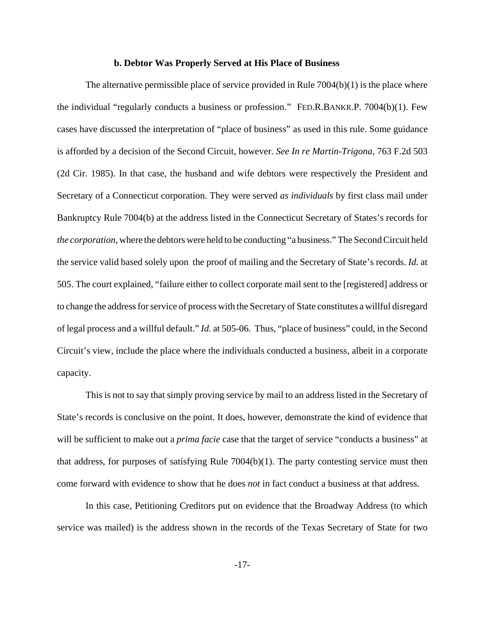#### **b. Debtor Was Properly Served at His Place of Business**

The alternative permissible place of service provided in Rule 7004(b)(1) is the place where the individual "regularly conducts a business or profession." FED.R.BANKR.P. 7004(b)(1). Few cases have discussed the interpretation of "place of business" as used in this rule. Some guidance is afforded by a decision of the Second Circuit, however. *See In re Martin-Trigona*, 763 F.2d 503 (2d Cir. 1985). In that case, the husband and wife debtors were respectively the President and Secretary of a Connecticut corporation. They were served *as individuals* by first class mail under Bankruptcy Rule 7004(b) at the address listed in the Connecticut Secretary of States's records for *the corporation*, where the debtors were held to be conducting "a business." The Second Circuit held the service valid based solely upon the proof of mailing and the Secretary of State's records. *Id.* at 505. The court explained, "failure either to collect corporate mail sent to the [registered] address or to change the address for service of process with the Secretary of State constitutes a willful disregard of legal process and a willful default." *Id.* at 505-06. Thus, "place of business" could, in the Second Circuit's view, include the place where the individuals conducted a business, albeit in a corporate capacity.

This is not to say that simply proving service by mail to an address listed in the Secretary of State's records is conclusive on the point. It does, however, demonstrate the kind of evidence that will be sufficient to make out a *prima facie* case that the target of service "conducts a business" at that address, for purposes of satisfying Rule 7004(b)(1). The party contesting service must then come forward with evidence to show that he does *not* in fact conduct a business at that address.

In this case, Petitioning Creditors put on evidence that the Broadway Address (to which service was mailed) is the address shown in the records of the Texas Secretary of State for two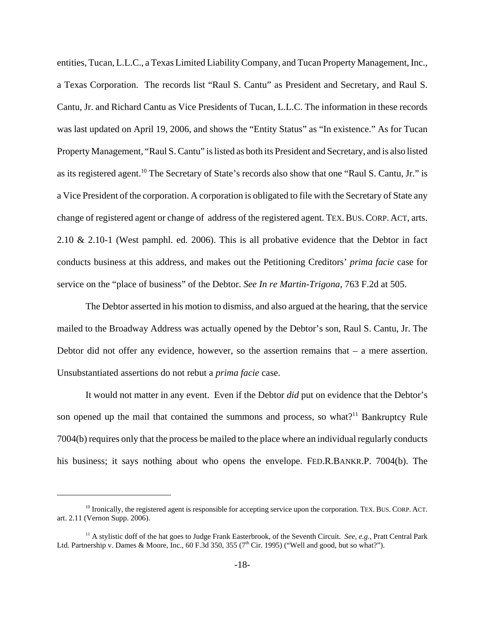entities, Tucan, L.L.C., a Texas Limited Liability Company, and Tucan Property Management, Inc., a Texas Corporation. The records list "Raul S. Cantu" as President and Secretary, and Raul S. Cantu, Jr. and Richard Cantu as Vice Presidents of Tucan, L.L.C. The information in these records was last updated on April 19, 2006, and shows the "Entity Status" as "In existence." As for Tucan Property Management, "Raul S. Cantu" is listed as both its President and Secretary, and is also listed as its registered agent.<sup>10</sup> The Secretary of State's records also show that one "Raul S. Cantu, Jr." is a Vice President of the corporation. A corporation is obligated to file with the Secretary of State any change of registered agent or change of address of the registered agent. TEX.BUS.CORP. ACT, arts. 2.10 & 2.10-1 (West pamphl. ed. 2006). This is all probative evidence that the Debtor in fact conducts business at this address, and makes out the Petitioning Creditors' *prima facie* case for service on the "place of business" of the Debtor. *See In re Martin-Trigona*, 763 F.2d at 505.

The Debtor asserted in his motion to dismiss, and also argued at the hearing, that the service mailed to the Broadway Address was actually opened by the Debtor's son, Raul S. Cantu, Jr. The Debtor did not offer any evidence, however, so the assertion remains that – a mere assertion. Unsubstantiated assertions do not rebut a *prima facie* case.

It would not matter in any event. Even if the Debtor *did* put on evidence that the Debtor's son opened up the mail that contained the summons and process, so what?<sup>11</sup> Bankruptcy Rule 7004(b) requires only that the process be mailed to the place where an individual regularly conducts his business; it says nothing about who opens the envelope. FED.R.BANKR.P. 7004(b). The

<sup>&</sup>lt;sup>10</sup> Ironically, the registered agent is responsible for accepting service upon the corporation. TEX. BUS. CORP. ACT. art. 2.11 (Vernon Supp. 2006).

<sup>11</sup> A stylistic doff of the hat goes to Judge Frank Easterbrook, of the Seventh Circuit. *See, e.g.*, Pratt Central Park Ltd. Partnership v. Dames & Moore, Inc., 60 F.3d 350, 355 (7<sup>th</sup> Cir. 1995) ("Well and good, but so what?").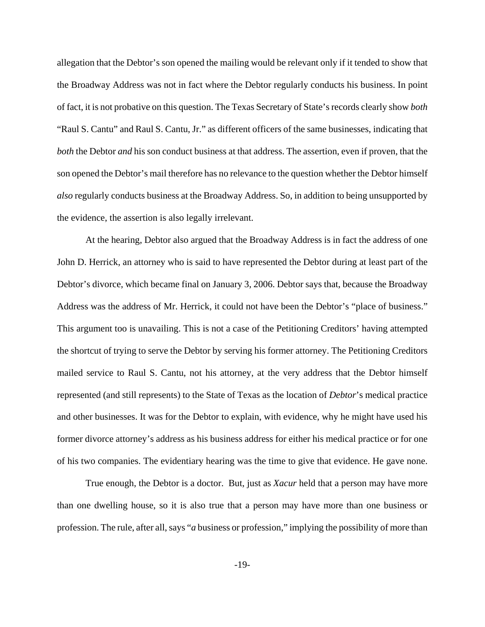allegation that the Debtor's son opened the mailing would be relevant only if it tended to show that the Broadway Address was not in fact where the Debtor regularly conducts his business. In point of fact, it is not probative on this question. The Texas Secretary of State's records clearly show *both* "Raul S. Cantu" and Raul S. Cantu, Jr." as different officers of the same businesses, indicating that *both* the Debtor *and* his son conduct business at that address. The assertion, even if proven, that the son opened the Debtor's mail therefore has no relevance to the question whether the Debtor himself *also* regularly conducts business at the Broadway Address. So, in addition to being unsupported by the evidence, the assertion is also legally irrelevant.

At the hearing, Debtor also argued that the Broadway Address is in fact the address of one John D. Herrick, an attorney who is said to have represented the Debtor during at least part of the Debtor's divorce, which became final on January 3, 2006. Debtor says that, because the Broadway Address was the address of Mr. Herrick, it could not have been the Debtor's "place of business." This argument too is unavailing. This is not a case of the Petitioning Creditors' having attempted the shortcut of trying to serve the Debtor by serving his former attorney. The Petitioning Creditors mailed service to Raul S. Cantu, not his attorney, at the very address that the Debtor himself represented (and still represents) to the State of Texas as the location of *Debtor*'s medical practice and other businesses. It was for the Debtor to explain, with evidence, why he might have used his former divorce attorney's address as his business address for either his medical practice or for one of his two companies. The evidentiary hearing was the time to give that evidence. He gave none.

True enough, the Debtor is a doctor. But, just as *Xacur* held that a person may have more than one dwelling house, so it is also true that a person may have more than one business or profession. The rule, after all, says "*a* business or profession," implying the possibility of more than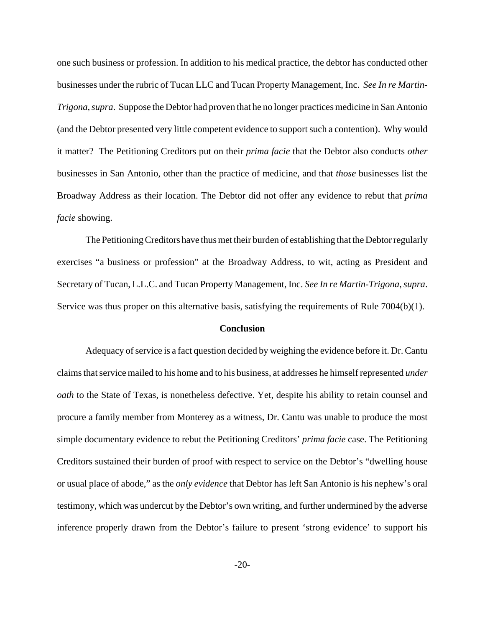one such business or profession. In addition to his medical practice, the debtor has conducted other businesses under the rubric of Tucan LLC and Tucan Property Management, Inc. *See In re Martin-Trigona*, *supra*. Suppose the Debtor had proven that he no longer practices medicine in San Antonio (and the Debtor presented very little competent evidence to support such a contention). Why would it matter? The Petitioning Creditors put on their *prima facie* that the Debtor also conducts *other* businesses in San Antonio, other than the practice of medicine, and that *those* businesses list the Broadway Address as their location. The Debtor did not offer any evidence to rebut that *prima facie* showing.

The Petitioning Creditors have thus met their burden of establishing that the Debtor regularly exercises "a business or profession" at the Broadway Address, to wit, acting as President and Secretary of Tucan, L.L.C. and Tucan Property Management, Inc. *See In re Martin-Trigona*, *supra*. Service was thus proper on this alternative basis, satisfying the requirements of Rule 7004(b)(1).

#### **Conclusion**

Adequacy of service is a fact question decided by weighing the evidence before it. Dr. Cantu claims that service mailed to his home and to his business, at addresses he himself represented *under oath* to the State of Texas, is nonetheless defective. Yet, despite his ability to retain counsel and procure a family member from Monterey as a witness, Dr. Cantu was unable to produce the most simple documentary evidence to rebut the Petitioning Creditors' *prima facie* case. The Petitioning Creditors sustained their burden of proof with respect to service on the Debtor's "dwelling house or usual place of abode," as the *only evidence* that Debtor has left San Antonio is his nephew's oral testimony, which was undercut by the Debtor's own writing, and further undermined by the adverse inference properly drawn from the Debtor's failure to present 'strong evidence' to support his